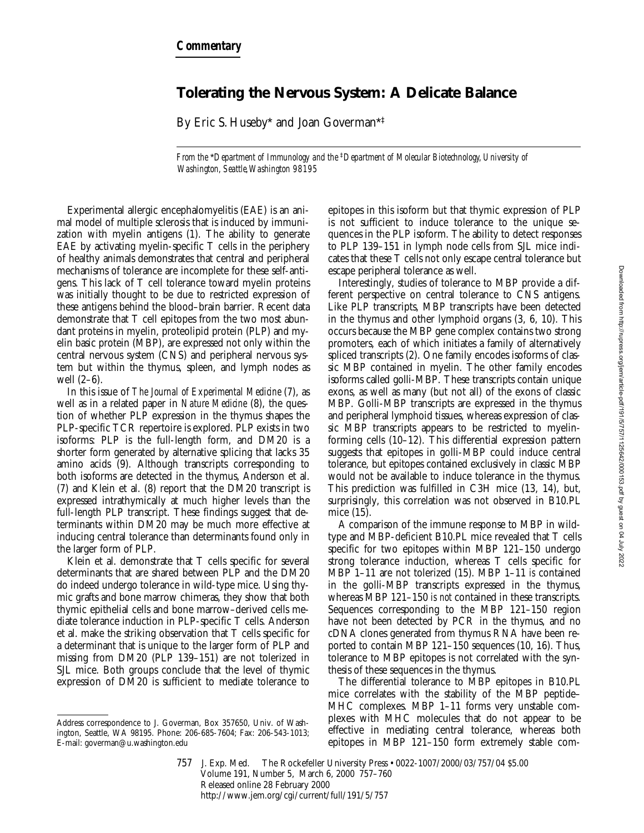## **Tolerating the Nervous System: A Delicate Balance**

By Eric S. Huseby\* and Joan Goverman\*‡

*From the* \**Department of Immunology and the* ‡*Department of Molecular Biotechnology, University of Washington, Seattle, Washington 98195*

Experimental allergic encephalomyelitis (EAE) is an animal model of multiple sclerosis that is induced by immunization with myelin antigens (1). The ability to generate EAE by activating myelin-specific T cells in the periphery of healthy animals demonstrates that central and peripheral mechanisms of tolerance are incomplete for these self-antigens. This lack of T cell tolerance toward myelin proteins was initially thought to be due to restricted expression of these antigens behind the blood–brain barrier. Recent data demonstrate that T cell epitopes from the two most abundant proteins in myelin, proteolipid protein (PLP) and myelin basic protein (MBP), are expressed not only within the central nervous system (CNS) and peripheral nervous system but within the thymus, spleen, and lymph nodes as well (2–6).

In this issue of *The Journal of Experimental Medicine* (7), as well as in a related paper in *Nature Medicine* (8), the question of whether PLP expression in the thymus shapes the PLP-specific TCR repertoire is explored. PLP exists in two isoforms: PLP is the full-length form, and DM20 is a shorter form generated by alternative splicing that lacks 35 amino acids (9). Although transcripts corresponding to both isoforms are detected in the thymus, Anderson et al. (7) and Klein et al. (8) report that the DM20 transcript is expressed intrathymically at much higher levels than the full-length PLP transcript. These findings suggest that determinants within DM20 may be much more effective at inducing central tolerance than determinants found only in the larger form of PLP.

Klein et al. demonstrate that T cells specific for several determinants that are shared between PLP and the DM20 do indeed undergo tolerance in wild-type mice. Using thymic grafts and bone marrow chimeras, they show that both thymic epithelial cells and bone marrow–derived cells mediate tolerance induction in PLP-specific T cells. Anderson et al. make the striking observation that T cells specific for a determinant that is unique to the larger form of PLP and missing from DM20 (PLP 139–151) are not tolerized in SJL mice. Both groups conclude that the level of thymic expression of DM20 is sufficient to mediate tolerance to epitopes in this isoform but that thymic expression of PLP is not sufficient to induce tolerance to the unique sequences in the PLP isoform. The ability to detect responses to PLP 139–151 in lymph node cells from SJL mice indicates that these T cells not only escape central tolerance but escape peripheral tolerance as well.

Interestingly, studies of tolerance to MBP provide a different perspective on central tolerance to CNS antigens. Like PLP transcripts, MBP transcripts have been detected in the thymus and other lymphoid organs (3, 6, 10). This occurs because the MBP gene complex contains two strong promoters, each of which initiates a family of alternatively spliced transcripts (2). One family encodes isoforms of classic MBP contained in myelin. The other family encodes isoforms called golli-MBP. These transcripts contain unique exons, as well as many (but not all) of the exons of classic MBP. Golli-MBP transcripts are expressed in the thymus and peripheral lymphoid tissues, whereas expression of classic MBP transcripts appears to be restricted to myelinforming cells (10–12). This differential expression pattern suggests that epitopes in golli-MBP could induce central tolerance, but epitopes contained exclusively in classic MBP would not be available to induce tolerance in the thymus. This prediction was fulfilled in C3H mice (13, 14), but, surprisingly, this correlation was not observed in B10.PL mice (15).

A comparison of the immune response to MBP in wildtype and MBP-deficient B10.PL mice revealed that T cells specific for two epitopes within MBP 121–150 undergo strong tolerance induction, whereas T cells specific for MBP 1–11 are not tolerized (15). MBP 1–11 *is* contained in the golli-MBP transcripts expressed in the thymus, whereas MBP 121–150 *is not* contained in these transcripts. Sequences corresponding to the MBP 121–150 region have not been detected by PCR in the thymus, and no cDNA clones generated from thymus RNA have been reported to contain MBP 121–150 sequences (10, 16). Thus, tolerance to MBP epitopes is not correlated with the synthesis of these sequences in the thymus.

The differential tolerance to MBP epitopes in B10.PL mice correlates with the stability of the MBP peptide– MHC complexes. MBP 1–11 forms very unstable complexes with MHC molecules that do not appear to be effective in mediating central tolerance, whereas both epitopes in MBP 121–150 form extremely stable com-

Address correspondence to J. Goverman, Box 357650, Univ. of Washington, Seattle, WA 98195. Phone: 206-685-7604; Fax: 206-543-1013; E-mail: goverman@u.washington.edu

<sup>757</sup> J. Exp. Med. The Rockefeller University Press • 0022-1007/2000/03/757/04 \$5.00 Volume 191, Number 5, March 6, 2000 757–760 Released online 28 February 2000 http://www.jem.org/cgi/current/full/191/5/757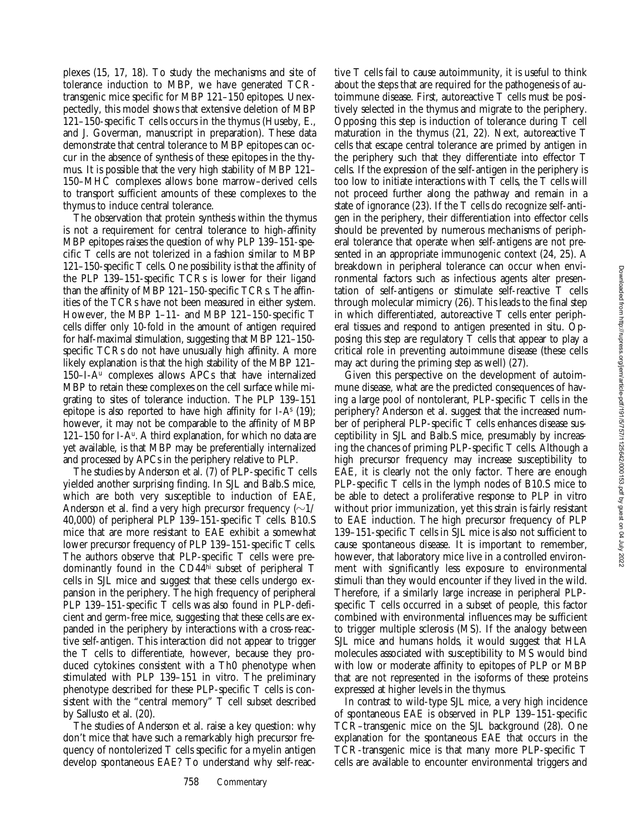plexes (15, 17, 18). To study the mechanisms and site of tolerance induction to MBP, we have generated TCRtransgenic mice specific for MBP 121–150 epitopes. Unexpectedly, this model shows that extensive deletion of MBP 121–150-specific T cells occurs in the thymus (Huseby, E., and J. Goverman, manuscript in preparation). These data demonstrate that central tolerance to MBP epitopes can occur in the absence of synthesis of these epitopes in the thymus. It is possible that the very high stability of MBP 121– 150–MHC complexes allows bone marrow–derived cells to transport sufficient amounts of these complexes to the thymus to induce central tolerance.

The observation that protein synthesis within the thymus is not a requirement for central tolerance to high-affinity MBP epitopes raises the question of why PLP 139–151-specific T cells are not tolerized in a fashion similar to MBP 121–150-specific T cells. One possibility is that the affinity of the PLP 139–151-specific TCRs is lower for their ligand than the affinity of MBP 121–150-specific TCRs. The affinities of the TCRs have not been measured in either system. However, the MBP 1–11- and MBP 121–150-specific T cells differ only 10-fold in the amount of antigen required for half-maximal stimulation, suggesting that MBP 121–150 specific TCRs do not have unusually high affinity. A more likely explanation is that the high stability of the MBP 121– 150–I-Au complexes allows APCs that have internalized MBP to retain these complexes on the cell surface while migrating to sites of tolerance induction. The PLP 139–151 epitope is also reported to have high affinity for  $I-A<sup>s</sup>$  (19); however, it may not be comparable to the affinity of MBP 121–150 for I-A<sup>u</sup>. A third explanation, for which no data are yet available, is that MBP may be preferentially internalized and processed by APCs in the periphery relative to PLP.

The studies by Anderson et al. (7) of PLP-specific T cells yielded another surprising finding. In SJL and Balb.S mice, which are both very susceptible to induction of EAE, Anderson et al. find a very high precursor frequency  $(\sim 1/$ 40,000) of peripheral PLP 139–151-specific T cells. B10.S mice that are more resistant to EAE exhibit a somewhat lower precursor frequency of PLP 139–151-specific T cells. The authors observe that PLP-specific T cells were predominantly found in the CD44hi subset of peripheral T cells in SJL mice and suggest that these cells undergo expansion in the periphery. The high frequency of peripheral PLP 139–151-specific T cells was also found in PLP-deficient and germ-free mice, suggesting that these cells are expanded in the periphery by interactions with a cross-reactive self-antigen. This interaction did not appear to trigger the T cells to differentiate, however, because they produced cytokines consistent with a Th0 phenotype when stimulated with PLP 139–151 in vitro. The preliminary phenotype described for these PLP-specific T cells is consistent with the "central memory" T cell subset described by Sallusto et al. (20).

The studies of Anderson et al. raise a key question: why don't mice that have such a remarkably high precursor frequency of nontolerized T cells specific for a myelin antigen develop spontaneous EAE? To understand why self-reactive T cells fail to cause autoimmunity, it is useful to think about the steps that are required for the pathogenesis of autoimmune disease. First, autoreactive T cells must be positively selected in the thymus and migrate to the periphery. Opposing this step is induction of tolerance during T cell maturation in the thymus (21, 22). Next, autoreactive T cells that escape central tolerance are primed by antigen in the periphery such that they differentiate into effector T cells. If the expression of the self-antigen in the periphery is too low to initiate interactions with T cells, the T cells will not proceed further along the pathway and remain in a state of ignorance (23). If the T cells do recognize self-antigen in the periphery, their differentiation into effector cells should be prevented by numerous mechanisms of peripheral tolerance that operate when self-antigens are not presented in an appropriate immunogenic context (24, 25). A breakdown in peripheral tolerance can occur when environmental factors such as infectious agents alter presentation of self-antigens or stimulate self-reactive T cells through molecular mimicry (26). This leads to the final step in which differentiated, autoreactive T cells enter peripheral tissues and respond to antigen presented in situ. Opposing this step are regulatory T cells that appear to play a critical role in preventing autoimmune disease (these cells may act during the priming step as well) (27).

Given this perspective on the development of autoimmune disease, what are the predicted consequences of having a large pool of nontolerant, PLP-specific T cells in the periphery? Anderson et al. suggest that the increased number of peripheral PLP-specific T cells enhances disease susceptibility in SJL and Balb.S mice, presumably by increasing the chances of priming PLP-specific T cells. Although a high precursor frequency may increase susceptibility to EAE, it is clearly not the only factor. There are enough PLP-specific T cells in the lymph nodes of B10.S mice to be able to detect a proliferative response to PLP in vitro without prior immunization, yet this strain is fairly resistant to EAE induction. The high precursor frequency of PLP 139–151-specific T cells in SJL mice is also not sufficient to cause spontaneous disease. It is important to remember, however, that laboratory mice live in a controlled environment with significantly less exposure to environmental stimuli than they would encounter if they lived in the wild. Therefore, if a similarly large increase in peripheral PLPspecific T cells occurred in a subset of people, this factor combined with environmental influences may be sufficient to trigger multiple sclerosis (MS). If the analogy between SJL mice and humans holds, it would suggest that HLA molecules associated with susceptibility to MS would bind with low or moderate affinity to epitopes of PLP or MBP that are not represented in the isoforms of these proteins expressed at higher levels in the thymus.

In contrast to wild-type SJL mice, a very high incidence of spontaneous EAE is observed in PLP 139–151-specific TCR–transgenic mice on the SJL background (28). One explanation for the spontaneous EAE that occurs in the TCR-transgenic mice is that many more PLP-specific T cells are available to encounter environmental triggers and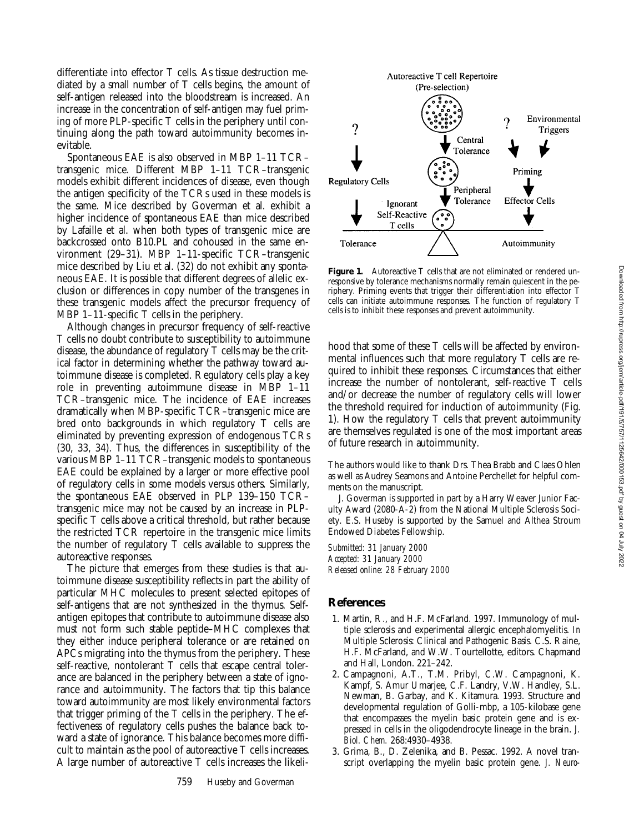differentiate into effector T cells. As tissue destruction mediated by a small number of T cells begins, the amount of self-antigen released into the bloodstream is increased. An increase in the concentration of self-antigen may fuel priming of more PLP-specific T cells in the periphery until continuing along the path toward autoimmunity becomes inevitable.

Spontaneous EAE is also observed in MBP 1–11 TCR– transgenic mice. Different MBP 1–11 TCR–transgenic models exhibit different incidences of disease, even though the antigen specificity of the TCRs used in these models is the same. Mice described by Goverman et al. exhibit a higher incidence of spontaneous EAE than mice described by Lafaille et al. when both types of transgenic mice are backcrossed onto B10.PL and cohoused in the same environment (29–31). MBP 1–11-specific TCR–transgenic mice described by Liu et al. (32) do not exhibit any spontaneous EAE. It is possible that different degrees of allelic exclusion or differences in copy number of the transgenes in these transgenic models affect the precursor frequency of MBP 1–11-specific T cells in the periphery.

Although changes in precursor frequency of self-reactive T cells no doubt contribute to susceptibility to autoimmune disease, the abundance of regulatory T cells may be the critical factor in determining whether the pathway toward autoimmune disease is completed. Regulatory cells play a key role in preventing autoimmune disease in MBP 1–11 TCR–transgenic mice. The incidence of EAE increases dramatically when MBP-specific TCR–transgenic mice are bred onto backgrounds in which regulatory T cells are eliminated by preventing expression of endogenous TCRs (30, 33, 34). Thus, the differences in susceptibility of the various MBP 1–11 TCR–transgenic models to spontaneous EAE could be explained by a larger or more effective pool of regulatory cells in some models versus others. Similarly, the spontaneous EAE observed in PLP 139–150 TCR– transgenic mice may not be caused by an increase in PLPspecific T cells above a critical threshold, but rather because the restricted TCR repertoire in the transgenic mice limits the number of regulatory T cells available to suppress the autoreactive responses.

The picture that emerges from these studies is that autoimmune disease susceptibility reflects in part the ability of particular MHC molecules to present selected epitopes of self-antigens that are not synthesized in the thymus. Selfantigen epitopes that contribute to autoimmune disease also must not form such stable peptide–MHC complexes that they either induce peripheral tolerance or are retained on APCs migrating into the thymus from the periphery. These self-reactive, nontolerant T cells that escape central tolerance are balanced in the periphery between a state of ignorance and autoimmunity. The factors that tip this balance toward autoimmunity are most likely environmental factors that trigger priming of the T cells in the periphery. The effectiveness of regulatory cells pushes the balance back toward a state of ignorance. This balance becomes more difficult to maintain as the pool of autoreactive T cells increases. A large number of autoreactive T cells increases the likeli-



Figure 1. Autoreactive T cells that are not eliminated or rendered unresponsive by tolerance mechanisms normally remain quiescent in the periphery. Priming events that trigger their differentiation into effector T cells can initiate autoimmune responses. The function of regulatory T cells is to inhibit these responses and prevent autoimmunity.

hood that some of these T cells will be affected by environmental influences such that more regulatory T cells are required to inhibit these responses. Circumstances that either increase the number of nontolerant, self-reactive T cells and/or decrease the number of regulatory cells will lower the threshold required for induction of autoimmunity (Fig. 1). How the regulatory T cells that prevent autoimmunity are themselves regulated is one of the most important areas of future research in autoimmunity.

The authors would like to thank Drs. Thea Brabb and Claes Ohlen as well as Audrey Seamons and Antoine Perchellet for helpful comments on the manuscript.

J. Goverman is supported in part by a Harry Weaver Junior Faculty Award (2080-A-2) from the National Multiple Sclerosis Society. E.S. Huseby is supported by the Samuel and Althea Stroum Endowed Diabetes Fellowship.

*Submitted: 31 January 2000 Accepted: 31 January 2000 Released online: 28 February 2000*

## **References**

- 1. Martin, R., and H.F. McFarland. 1997. Immunology of multiple sclerosis and experimental allergic encephalomyelitis. *In* Multiple Sclerosis: Clinical and Pathogenic Basis. C.S. Raine, H.F. McFarland, and W.W. Tourtellotte, editors. Chapmand and Hall, London. 221–242.
- 2. Campagnoni, A.T., T.M. Pribyl, C.W. Campagnoni, K. Kampf, S. Amur Umarjee, C.F. Landry, V.W. Handley, S.L. Newman, B. Garbay, and K. Kitamura. 1993. Structure and developmental regulation of Golli-mbp, a 105-kilobase gene that encompasses the myelin basic protein gene and is expressed in cells in the oligodendrocyte lineage in the brain. *J. Biol. Chem.* 268:4930–4938.
- 3. Grima, B., D. Zelenika, and B. Pessac. 1992. A novel transcript overlapping the myelin basic protein gene. *J. Neuro-*